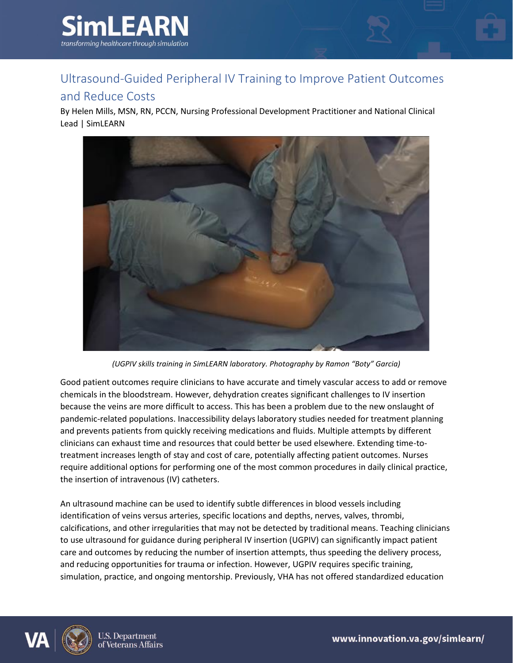

## Ultrasound-Guided Peripheral IV Training to Improve Patient Outcomes

## and Reduce Costs

By Helen Mills, MSN, RN, PCCN, Nursing Professional Development Practitioner and National Clinical Lead | SimLEARN



*(UGPIV skills training in SimLEARN laboratory. Photography by Ramon "Boty" Garcia)*

Good patient outcomes require clinicians to have accurate and timely vascular access to add or remove chemicals in the bloodstream. However, dehydration creates significant challenges to IV insertion because the veins are more difficult to access. This has been a problem due to the new onslaught of pandemic-related populations. Inaccessibility delays laboratory studies needed for treatment planning and prevents patients from quickly receiving medications and fluids. Multiple attempts by different clinicians can exhaust time and resources that could better be used elsewhere. Extending time-totreatment increases length of stay and cost of care, potentially affecting patient outcomes. Nurses require additional options for performing one of the most common procedures in daily clinical practice, the insertion of intravenous (IV) catheters.

An ultrasound machine can be used to identify subtle differences in blood vessels including identification of veins versus arteries, specific locations and depths, nerves, valves, thrombi, calcifications, and other irregularities that may not be detected by traditional means. Teaching clinicians to use ultrasound for guidance during peripheral IV insertion (UGPIV) can significantly impact patient care and outcomes by reducing the number of insertion attempts, thus speeding the delivery process, and reducing opportunities for trauma or infection. However, UGPIV requires specific training, simulation, practice, and ongoing mentorship. Previously, VHA has not offered standardized education